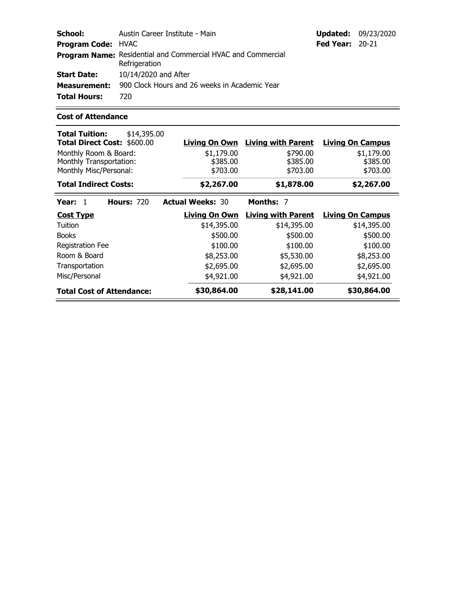| School:                   | Austin Career Institute - Main                                                       |                        | <b>Updated: 09/23/2020</b> |
|---------------------------|--------------------------------------------------------------------------------------|------------------------|----------------------------|
| <b>Program Code: HVAC</b> |                                                                                      | <b>Fed Year: 20-21</b> |                            |
|                           | <b>Program Name:</b> Residential and Commercial HVAC and Commercial<br>Refrigeration |                        |                            |
| <b>Start Date:</b>        | 10/14/2020 and After                                                                 |                        |                            |
| <b>Measurement:</b>       | 900 Clock Hours and 26 weeks in Academic Year                                        |                        |                            |
| <b>Total Hours:</b>       | 720.                                                                                 |                        |                            |

 $=$ 

## **Cost of Attendance**

Ξ

| <b>Total Tuition:</b><br>Total Direct Cost: \$600.00                       | \$14,395.00       | <b>Living On Own</b>               | <b>Living with Parent</b>        | <b>Living On Campus</b>            |
|----------------------------------------------------------------------------|-------------------|------------------------------------|----------------------------------|------------------------------------|
| Monthly Room & Board:<br>Monthly Transportation:<br>Monthly Misc/Personal: |                   | \$1,179.00<br>\$385.00<br>\$703.00 | \$790.00<br>\$385.00<br>\$703.00 | \$1,179.00<br>\$385.00<br>\$703.00 |
| <b>Total Indirect Costs:</b>                                               |                   | \$2,267.00                         | \$1,878.00                       | \$2,267.00                         |
| Year: $1$                                                                  | <b>Hours: 720</b> | <b>Actual Weeks: 30</b>            | <b>Months: 7</b>                 |                                    |
| <b>Cost Type</b>                                                           |                   | <b>Living On Own</b>               | <b>Living with Parent</b>        | <b>Living On Campus</b>            |
| Tuition                                                                    |                   | \$14,395.00                        | \$14,395.00                      | \$14,395.00                        |
| <b>Books</b>                                                               |                   | \$500.00                           | \$500.00                         | \$500.00                           |
| Registration Fee                                                           |                   | \$100.00                           | \$100.00                         | \$100.00                           |
| Room & Board                                                               |                   | \$8,253.00                         | \$5,530.00                       | \$8,253.00                         |
| Transportation                                                             |                   | \$2,695.00                         | \$2,695.00                       | \$2,695.00                         |
| Misc/Personal                                                              |                   | \$4,921.00                         | \$4,921.00                       | \$4,921.00                         |
| <b>Total Cost of Attendance:</b>                                           |                   | \$30,864.00                        | \$28,141.00                      | \$30,864.00                        |